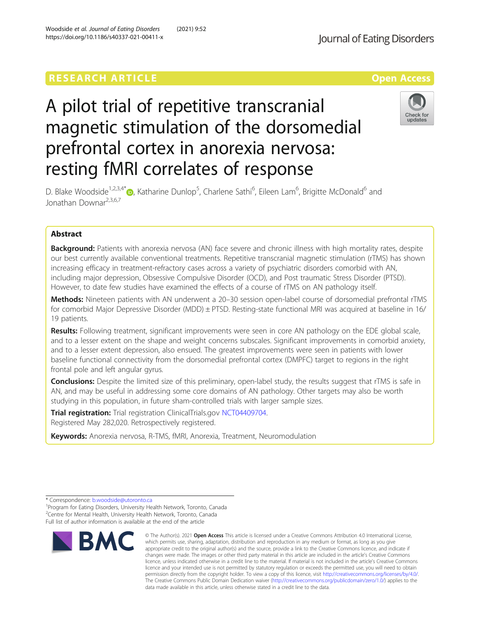# **RESEARCH ARTICLE Example 2018 12:30 THE Open Access**

# A pilot trial of repetitive transcranial magnetic stimulation of the dorsomedial prefrontal cortex in anorexia nervosa: resting fMRI correlates of response



D. Blake Woodside<sup>1[,](http://orcid.org/0000-0001-6833-3264)2,3,4\*</sup>®, Katharine Dunlop<sup>5</sup>, Charlene Sathi<sup>6</sup>, Eileen Lam<sup>6</sup>, Brigitte McDonald<sup>6</sup> and Jonathan Downar<sup>2,3,6,7</sup>

# Abstract

Background: Patients with anorexia nervosa (AN) face severe and chronic illness with high mortality rates, despite our best currently available conventional treatments. Repetitive transcranial magnetic stimulation (rTMS) has shown increasing efficacy in treatment-refractory cases across a variety of psychiatric disorders comorbid with AN, including major depression, Obsessive Compulsive Disorder (OCD), and Post traumatic Stress Disorder (PTSD). However, to date few studies have examined the effects of a course of rTMS on AN pathology itself.

Methods: Nineteen patients with AN underwent a 20–30 session open-label course of dorsomedial prefrontal rTMS for comorbid Major Depressive Disorder (MDD) ± PTSD. Resting-state functional MRI was acquired at baseline in 16/ 19 patients.

Results: Following treatment, significant improvements were seen in core AN pathology on the EDE global scale, and to a lesser extent on the shape and weight concerns subscales. Significant improvements in comorbid anxiety, and to a lesser extent depression, also ensued. The greatest improvements were seen in patients with lower baseline functional connectivity from the dorsomedial prefrontal cortex (DMPFC) target to regions in the right frontal pole and left angular gyrus.

Conclusions: Despite the limited size of this preliminary, open-label study, the results suggest that rTMS is safe in AN, and may be useful in addressing some core domains of AN pathology. Other targets may also be worth studying in this population, in future sham-controlled trials with larger sample sizes.

Trial registration: Trial registration ClinicalTrials.gov [NCT04409704.](https://clinicaltrials.gov/ct2/show/NCT04409704) Registered May 282,020. Retrospectively registered.

Keywords: Anorexia nervosa, R-TMS, fMRI, Anorexia, Treatment, Neuromodulation

<sup>&</sup>lt;sup>1</sup> Program for Eating Disorders, University Health Network, Toronto, Canada <sup>2</sup> Centre for Mental Health, University Health Network, Toronto, Canada Full list of author information is available at the end of the article



<sup>©</sup> The Author(s), 2021 **Open Access** This article is licensed under a Creative Commons Attribution 4.0 International License, which permits use, sharing, adaptation, distribution and reproduction in any medium or format, as long as you give appropriate credit to the original author(s) and the source, provide a link to the Creative Commons licence, and indicate if changes were made. The images or other third party material in this article are included in the article's Creative Commons licence, unless indicated otherwise in a credit line to the material. If material is not included in the article's Creative Commons licence and your intended use is not permitted by statutory regulation or exceeds the permitted use, you will need to obtain permission directly from the copyright holder. To view a copy of this licence, visit [http://creativecommons.org/licenses/by/4.0/.](http://creativecommons.org/licenses/by/4.0/) The Creative Commons Public Domain Dedication waiver [\(http://creativecommons.org/publicdomain/zero/1.0/](http://creativecommons.org/publicdomain/zero/1.0/)) applies to the data made available in this article, unless otherwise stated in a credit line to the data.

<sup>\*</sup> Correspondence: [b.woodside@utoronto.ca](mailto:b.woodside@utoronto.ca) <sup>1</sup>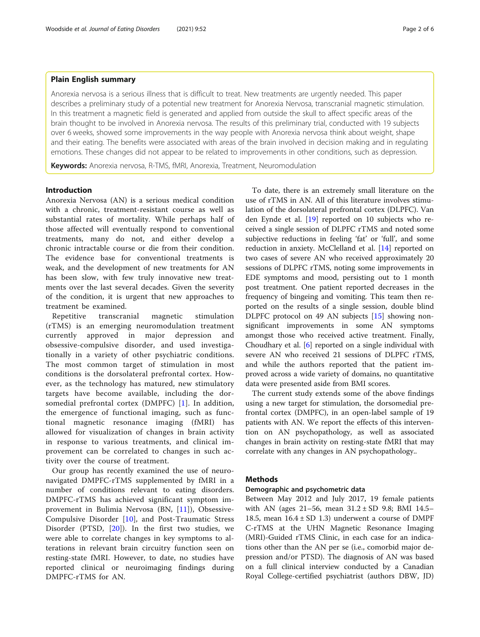Anorexia nervosa is a serious illness that is difficult to treat. New treatments are urgently needed. This paper describes a preliminary study of a potential new treatment for Anorexia Nervosa, transcranial magnetic stimulation. In this treatment a magnetic field is generated and applied from outside the skull to affect specific areas of the brain thought to be involved in Anorexia nervosa. The results of this preliminary trial, conducted with 19 subjects over 6 weeks, showed some improvements in the way people with Anorexia nervosa think about weight, shape and their eating. The benefits were associated with areas of the brain involved in decision making and in regulating emotions. These changes did not appear to be related to improvements in other conditions, such as depression.

Keywords: Anorexia nervosa, R-TMS, fMRI, Anorexia, Treatment, Neuromodulation

### Introduction

Anorexia Nervosa (AN) is a serious medical condition with a chronic, treatment-resistant course as well as substantial rates of mortality. While perhaps half of those affected will eventually respond to conventional treatments, many do not, and either develop a chronic intractable course or die from their condition. The evidence base for conventional treatments is weak, and the development of new treatments for AN has been slow, with few truly innovative new treatments over the last several decades. Given the severity of the condition, it is urgent that new approaches to treatment be examined.

Repetitive transcranial magnetic stimulation (rTMS) is an emerging neuromodulation treatment currently approved in major depression and obsessive-compulsive disorder, and used investigationally in a variety of other psychiatric conditions. The most common target of stimulation in most conditions is the dorsolateral prefrontal cortex. However, as the technology has matured, new stimulatory targets have become available, including the dorsomedial prefrontal cortex (DMPFC) [[1](#page-5-0)]. In addition, the emergence of functional imaging, such as functional magnetic resonance imaging (fMRI) has allowed for visualization of changes in brain activity in response to various treatments, and clinical improvement can be correlated to changes in such activity over the course of treatment.

Our group has recently examined the use of neuronavigated DMPFC-rTMS supplemented by fMRI in a number of conditions relevant to eating disorders. DMPFC-rTMS has achieved significant symptom improvement in Bulimia Nervosa (BN, [[11](#page-5-0)]), Obsessive-Compulsive Disorder [\[10](#page-5-0)], and Post-Traumatic Stress Disorder (PTSD, [[20\]](#page-5-0)). In the first two studies, we were able to correlate changes in key symptoms to alterations in relevant brain circuitry function seen on resting-state fMRI. However, to date, no studies have reported clinical or neuroimaging findings during DMPFC-rTMS for AN.

To date, there is an extremely small literature on the use of rTMS in AN. All of this literature involves stimulation of the dorsolateral prefrontal cortex (DLPFC). Van den Eynde et al. [\[19](#page-5-0)] reported on 10 subjects who received a single session of DLPFC rTMS and noted some subjective reductions in feeling 'fat' or 'full', and some reduction in anxiety. McClelland et al. [[14\]](#page-5-0) reported on two cases of severe AN who received approximately 20 sessions of DLPFC rTMS, noting some improvements in EDE symptoms and mood, persisting out to 1 month post treatment. One patient reported decreases in the frequency of bingeing and vomiting. This team then reported on the results of a single session, double blind DLPFC protocol on 49 AN subjects [\[15\]](#page-5-0) showing nonsignificant improvements in some AN symptoms amongst those who received active treatment. Finally, Choudhary et al. [[6\]](#page-5-0) reported on a single individual with severe AN who received 21 sessions of DLPFC rTMS, and while the authors reported that the patient improved across a wide variety of domains, no quantitative data were presented aside from BMI scores.

The current study extends some of the above findings using a new target for stimulation, the dorsomedial prefrontal cortex (DMPFC), in an open-label sample of 19 patients with AN. We report the effects of this intervention on AN psychopathology, as well as associated changes in brain activity on resting-state fMRI that may correlate with any changes in AN psychopathology..

# **Methods**

# Demographic and psychometric data

Between May 2012 and July 2017, 19 female patients with AN (ages 21–56, mean 31.2 ± SD 9.8; BMI 14.5– 18.5, mean  $16.4 \pm SD$  1.3) underwent a course of DMPF C-rTMS at the UHN Magnetic Resonance Imaging (MRI)-Guided rTMS Clinic, in each case for an indications other than the AN per se (i.e., comorbid major depression and/or PTSD). The diagnosis of AN was based on a full clinical interview conducted by a Canadian Royal College-certified psychiatrist (authors DBW, JD)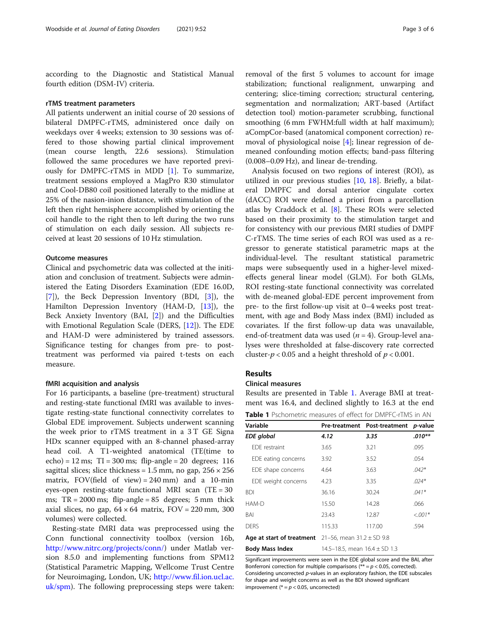according to the Diagnostic and Statistical Manual fourth edition (DSM-IV) criteria.

#### rTMS treatment parameters

All patients underwent an initial course of 20 sessions of bilateral DMPFC-rTMS, administered once daily on weekdays over 4 weeks; extension to 30 sessions was offered to those showing partial clinical improvement (mean course length, 22.6 sessions). Stimulation followed the same procedures we have reported previously for DMPFC-rTMS in MDD [\[1](#page-5-0)]. To summarize, treatment sessions employed a MagPro R30 stimulator and Cool-DB80 coil positioned laterally to the midline at 25% of the nasion-inion distance, with stimulation of the left then right hemisphere accomplished by orienting the coil handle to the right then to left during the two runs of stimulation on each daily session. All subjects received at least 20 sessions of 10 Hz stimulation.

# Outcome measures

Clinical and psychometric data was collected at the initiation and conclusion of treatment. Subjects were administered the Eating Disorders Examination (EDE 16.0D,  $[7]$  $[7]$ , the Beck Depression Inventory (BDI,  $[3]$  $[3]$ ), the Hamilton Depression Inventory (HAM-D, [\[13\]](#page-5-0)), the Beck Anxiety Inventory (BAI, [\[2\]](#page-5-0)) and the Difficulties with Emotional Regulation Scale (DERS, [[12\]](#page-5-0)). The EDE and HAM-D were administered by trained assessors. Significance testing for changes from pre- to posttreatment was performed via paired t-tests on each measure.

## fMRI acquisition and analysis

For 16 participants, a baseline (pre-treatment) structural and resting-state functional fMRI was available to investigate resting-state functional connectivity correlates to Global EDE improvement. Subjects underwent scanning the week prior to rTMS treatment in a 3 T GE Signa HDx scanner equipped with an 8-channel phased-array head coil. A T1-weighted anatomical (TE(time to echo) = 12 ms; TI = 300 ms; flip-angle = 20 degrees; 116 sagittal slices; slice thickness =  $1.5$  mm, no gap,  $256 \times 256$ matrix, FOV(field of view) =  $240$  mm) and a 10-min eyes-open resting-state functional MRI scan  $(TE = 30$ ms;  $TR = 2000$  ms; flip-angle = 85 degrees; 5 mm thick axial slices, no gap,  $64 \times 64$  matrix,  $FOV = 220$  mm, 300 volumes) were collected.

Resting-state fMRI data was preprocessed using the Conn functional connectivity toolbox (version 16b, [http://www.nitrc.org/projects/conn/\)](http://www.nitrc.org/projects/conn/) under Matlab version 8.5.0 and implementing functions from SPM12 (Statistical Parametric Mapping, Wellcome Trust Centre for Neuroimaging, London, UK; [http://www.fil.ion.ucl.ac.](http://www.fil.ion.ucl.ac.uk/spm) [uk/spm\)](http://www.fil.ion.ucl.ac.uk/spm). The following preprocessing steps were taken:

removal of the first 5 volumes to account for image stabilization; functional realignment, unwarping and centering; slice-timing correction; structural centering, segmentation and normalization; ART-based (Artifact detection tool) motion-parameter scrubbing, functional smoothing (6 mm FWHM:full width at half maximum); aCompCor-based (anatomical component correction) removal of physiological noise [[4\]](#page-5-0); linear regression of demeaned confounding motion effects; band-pass filtering (0.008–0.09 Hz), and linear de-trending.

Analysis focused on two regions of interest (ROI), as utilized in our previous studies [[10,](#page-5-0) [18\]](#page-5-0). Briefly, a bilateral DMPFC and dorsal anterior cingulate cortex (dACC) ROI were defined a priori from a parcellation atlas by Craddock et al. [[8\]](#page-5-0). These ROIs were selected based on their proximity to the stimulation target and for consistency with our previous fMRI studies of DMPF C-rTMS. The time series of each ROI was used as a regressor to generate statistical parametric maps at the individual-level. The resultant statistical parametric maps were subsequently used in a higher-level mixedeffects general linear model (GLM). For both GLMs, ROI resting-state functional connectivity was correlated with de-meaned global-EDE percent improvement from pre- to the first follow-up visit at 0–4 weeks post treatment, with age and Body Mass index (BMI) included as covariates. If the first follow-up data was unavailable, end-of-treatment data was used  $(n = 4)$ . Group-level analyses were thresholded at false-discovery rate corrected cluster- $p < 0.05$  and a height threshold of  $p < 0.001$ .

# Results

# Clinical measures

Results are presented in Table 1. Average BMI at treatment was 16.4, and declined slightly to 16.3 at the end

| <b>Table 1</b> Pschometric measures of effect for DMPFC-rTMS in AN |  |  |  |
|--------------------------------------------------------------------|--|--|--|
|                                                                    |  |  |  |

| Variable                                                   |                                   | Pre-treatment Post-treatment | <i>p</i> -value<br>$.010**$ |  |  |
|------------------------------------------------------------|-----------------------------------|------------------------------|-----------------------------|--|--|
| <b>EDE</b> global                                          | 4.12                              | 3.35                         |                             |  |  |
| FDF restraint                                              | 3.65                              | 3.21                         | .095                        |  |  |
| EDE eating concerns                                        | 3.92                              | 3.52                         | .054                        |  |  |
| EDE shape concerns                                         | 4.64                              | 3.63                         | $.042*$                     |  |  |
| EDE weight concerns                                        | 4.23                              | 3.35                         | $.024*$                     |  |  |
| <b>BDI</b>                                                 | 36.16                             | 30.24                        | $.041*$                     |  |  |
| HAM-D                                                      | 15.50                             | 14.28                        | .066                        |  |  |
| BAI                                                        | 23.43                             | 12.87                        | $<.001*$                    |  |  |
| <b>DERS</b>                                                | 115.33                            | 117.00                       | .594                        |  |  |
| Age at start of treatment $21-56$ , mean $31.2 \pm SD$ 9.8 |                                   |                              |                             |  |  |
| <b>Body Mass Index</b>                                     | 14.5–18.5, mean $16.4 \pm SD$ 1.3 |                              |                             |  |  |

Significant improvements were seen in the EDE global score and the BAI, after Bonferroni correction for multiple comparisons ( $** = p < 0.05$ , corrected). Considering uncorrected p-values in an exploratory fashion, the EDE subscales for shape and weight concerns as well as the BDI showed significant improvement ( $* = p < 0.05$ , uncorrected)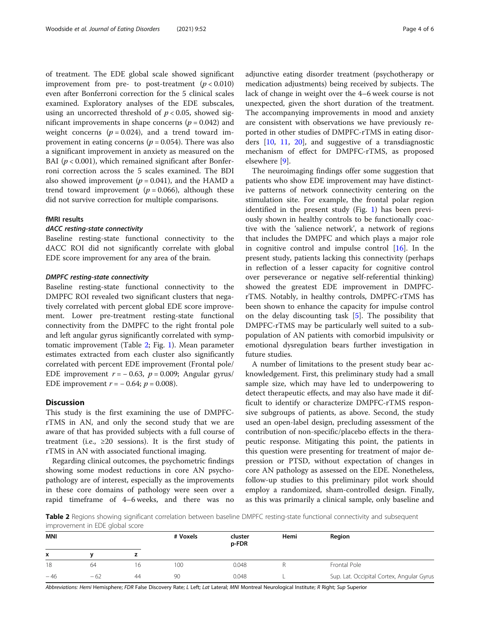of treatment. The EDE global scale showed significant improvement from pre- to post-treatment  $(p < 0.010)$ even after Bonferroni correction for the 5 clinical scales examined. Exploratory analyses of the EDE subscales, using an uncorrected threshold of  $p < 0.05$ , showed significant improvements in shape concerns ( $p = 0.042$ ) and weight concerns  $(p = 0.024)$ , and a trend toward improvement in eating concerns ( $p = 0.054$ ). There was also a significant improvement in anxiety as measured on the BAI ( $p < 0.001$ ), which remained significant after Bonferroni correction across the 5 scales examined. The BDI also showed improvement ( $p = 0.041$ ), and the HAMD a trend toward improvement ( $p = 0.066$ ), although these did not survive correction for multiple comparisons.

# fMRI results

# dACC resting-state connectivity

Baseline resting-state functional connectivity to the dACC ROI did not significantly correlate with global EDE score improvement for any area of the brain.

# DMPFC resting-state connectivity

Baseline resting-state functional connectivity to the DMPFC ROI revealed two significant clusters that negatively correlated with percent global EDE score improvement. Lower pre-treatment resting-state functional connectivity from the DMPFC to the right frontal pole and left angular gyrus significantly correlated with symptomatic improvement (Table 2; Fig. [1](#page-4-0)). Mean parameter estimates extracted from each cluster also significantly correlated with percent EDE improvement (Frontal pole/ EDE improvement  $r = -0.63$ ,  $p = 0.009$ ; Angular gyrus/ EDE improvement  $r = -0.64$ ;  $p = 0.008$ ).

# **Discussion**

This study is the first examining the use of DMPFCrTMS in AN, and only the second study that we are aware of that has provided subjects with a full course of treatment (i.e.,  $\geq 20$  sessions). It is the first study of rTMS in AN with associated functional imaging.

Regarding clinical outcomes, the psychometric findings showing some modest reductions in core AN psychopathology are of interest, especially as the improvements in these core domains of pathology were seen over a rapid timeframe of 4–6 weeks, and there was no adjunctive eating disorder treatment (psychotherapy or medication adjustments) being received by subjects. The lack of change in weight over the 4–6 week course is not unexpected, given the short duration of the treatment. The accompanying improvements in mood and anxiety are consistent with observations we have previously reported in other studies of DMPFC-rTMS in eating disorders [\[10](#page-5-0), [11,](#page-5-0) [20](#page-5-0)], and suggestive of a transdiagnostic mechanism of effect for DMPFC-rTMS, as proposed elsewhere [[9\]](#page-5-0).

The neuroimaging findings offer some suggestion that patients who show EDE improvement may have distinctive patterns of network connectivity centering on the stimulation site. For example, the frontal polar region identified in the present study (Fig. [1](#page-4-0)) has been previously shown in healthy controls to be functionally coactive with the 'salience network', a network of regions that includes the DMPFC and which plays a major role in cognitive control and impulse control [\[16\]](#page-5-0). In the present study, patients lacking this connectivity (perhaps in reflection of a lesser capacity for cognitive control over perseverance or negative self-referential thinking) showed the greatest EDE improvement in DMPFCrTMS. Notably, in healthy controls, DMPFC-rTMS has been shown to enhance the capacity for impulse control on the delay discounting task [[5](#page-5-0)]. The possibility that DMPFC-rTMS may be particularly well suited to a subpopulation of AN patients with comorbid impulsivity or emotional dysregulation bears further investigation in future studies.

A number of limitations to the present study bear acknowledgement. First, this preliminary study had a small sample size, which may have led to underpowering to detect therapeutic effects, and may also have made it difficult to identify or characterize DMPFC-rTMS responsive subgroups of patients, as above. Second, the study used an open-label design, precluding assessment of the contribution of non-specific/placebo effects in the therapeutic response. Mitigating this point, the patients in this question were presenting for treatment of major depression or PTSD, without expectation of changes in core AN pathology as assessed on the EDE. Nonetheless, follow-up studies to this preliminary pilot work should employ a randomized, sham-controlled design. Finally, as this was primarily a clinical sample, only baseline and

Table 2 Regions showing significant correlation between baseline DMPFC resting-state functional connectivity and subsequent improvement in EDE global score

| <b>MNI</b> |       |    | # Voxels | Hemi<br>cluster<br>p-FDR |  | Region                                    |
|------------|-------|----|----------|--------------------------|--|-------------------------------------------|
| x          |       |    |          |                          |  |                                           |
| 18         | 64    |    | 100      | 0.048                    |  | Frontal Pole                              |
| $-46$      | $-62$ | 44 | 90       | 0.048                    |  | Sup. Lat. Occipital Cortex, Angular Gyrus |

Abbreviations: Hemi Hemisphere; FDR False Discovery Rate; L Left; Lat Lateral; MNI Montreal Neurological Institute; R Right; Sup Superior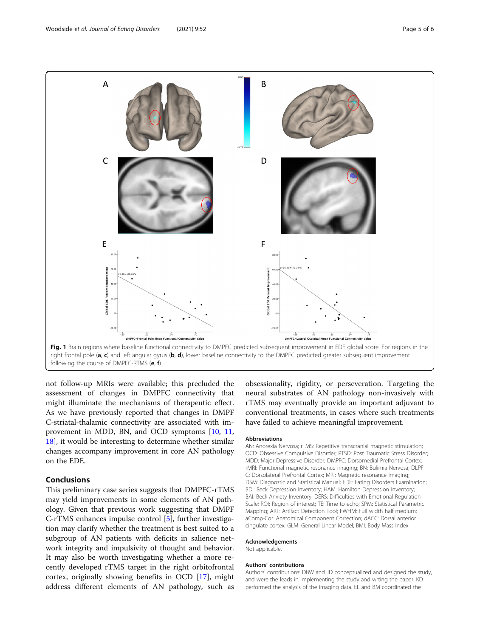<span id="page-4-0"></span>

following the course of DMPFC-RTMS (e, f)

not follow-up MRIs were available; this precluded the assessment of changes in DMPFC connectivity that might illuminate the mechanisms of therapeutic effect. As we have previously reported that changes in DMPF C-striatal-thalamic connectivity are associated with improvement in MDD, BN, and OCD symptoms [\[10](#page-5-0), [11](#page-5-0), [18\]](#page-5-0), it would be interesting to determine whether similar changes accompany improvement in core AN pathology on the EDE.

# Conclusions

This preliminary case series suggests that DMPFC-rTMS may yield improvements in some elements of AN pathology. Given that previous work suggesting that DMPF C-rTMS enhances impulse control [\[5](#page-5-0)], further investigation may clarify whether the treatment is best suited to a subgroup of AN patients with deficits in salience network integrity and impulsivity of thought and behavior. It may also be worth investigating whether a more recently developed rTMS target in the right orbitofrontal cortex, originally showing benefits in OCD [\[17\]](#page-5-0), might address different elements of AN pathology, such as

obsessionality, rigidity, or perseveration. Targeting the neural substrates of AN pathology non-invasively with rTMS may eventually provide an important adjuvant to conventional treatments, in cases where such treatments have failed to achieve meaningful improvement.

# Abbreviations

AN: Anorexia Nervosa; rTMS: Repetitive transcranial magnetic stimulation; OCD: Obsessive Compulsive Disorder; PTSD: Post Traumatic Stress Disorder; MDD: Major Depressive Disorder; DMPFC: Dorsomedial Prefrontal Cortex; rMRI: Functional magnetic resonance imaging; BN: Bulimia Nervosa; DLPF C: Dorsolateral Prefrontal Cortex; MRI: Magnetic resonance imaging; DSM: Diagnostic and Statistical Manual; EDE: Eating Disorders Examination; BDI: Beck Depression Inventory; HAM: Hamilton Depression Inventory; BAI: Beck Anxiety Inventory; DERS: Difficulties with Emotional Regulation Scale; ROI: Region of interest; TE: Time to echo; SPM: Statistical Parametric Mapping; ART: Artifact Detection Tool; FWHM: Full width half medium; aComp-Cor: Anatomical Component Correction; dACC: Dorsal anterior cingulate cortex; GLM: General Linear Model; BMI: Body Mass Index

#### Acknowledgements

Not applicable.

#### Authors' contributions

Authors' contributions: DBW and JD conceptualized and designed the study, and were the leads in implementing the study and wrting the paper. KD performed the analysis of the imaging data. EL and BM coordinated the